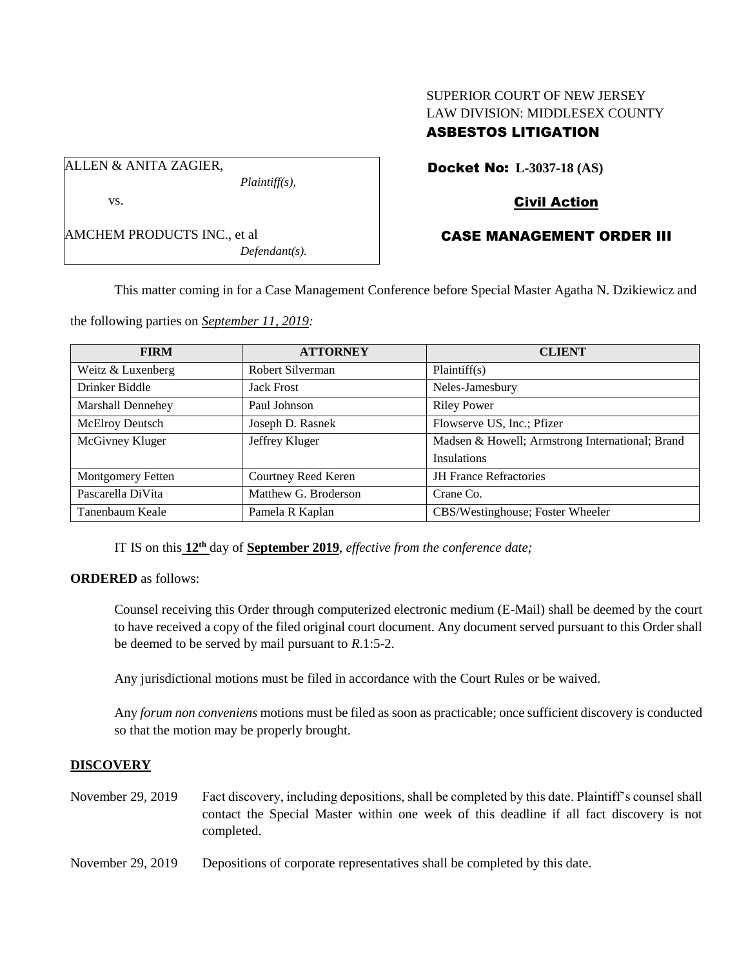# SUPERIOR COURT OF NEW JERSEY LAW DIVISION: MIDDLESEX COUNTY ASBESTOS LITIGATION

ALLEN & ANITA ZAGIER,

vs.

AMCHEM PRODUCTS INC., et al *Defendant(s).* Docket No: **L-3037-18 (AS)**

# Civil Action

# CASE MANAGEMENT ORDER III

This matter coming in for a Case Management Conference before Special Master Agatha N. Dzikiewicz and

the following parties on *September 11, 2019:*

*Plaintiff(s),*

| <b>FIRM</b>              | <b>ATTORNEY</b>      | <b>CLIENT</b>                                   |
|--------------------------|----------------------|-------------------------------------------------|
| Weitz & Luxenberg        | Robert Silverman     | Plaintiff(s)                                    |
| Drinker Biddle           | <b>Jack Frost</b>    | Neles-Jamesbury                                 |
| <b>Marshall Dennehey</b> | Paul Johnson         | <b>Riley Power</b>                              |
| McElroy Deutsch          | Joseph D. Rasnek     | Flowserve US, Inc.; Pfizer                      |
| McGivney Kluger          | Jeffrey Kluger       | Madsen & Howell; Armstrong International; Brand |
|                          |                      | Insulations                                     |
| <b>Montgomery Fetten</b> | Courtney Reed Keren  | <b>JH</b> France Refractories                   |
| Pascarella DiVita        | Matthew G. Broderson | Crane Co.                                       |
| Tanenbaum Keale          | Pamela R Kaplan      | CBS/Westinghouse; Foster Wheeler                |

IT IS on this  $12<sup>th</sup>$  day of **September** 2019, *effective from the conference date*;

# **ORDERED** as follows:

Counsel receiving this Order through computerized electronic medium (E-Mail) shall be deemed by the court to have received a copy of the filed original court document. Any document served pursuant to this Order shall be deemed to be served by mail pursuant to *R*.1:5-2.

Any jurisdictional motions must be filed in accordance with the Court Rules or be waived.

Any *forum non conveniens* motions must be filed as soon as practicable; once sufficient discovery is conducted so that the motion may be properly brought.

### **DISCOVERY**

November 29, 2019 Fact discovery, including depositions, shall be completed by this date. Plaintiff's counsel shall contact the Special Master within one week of this deadline if all fact discovery is not completed.

November 29, 2019 Depositions of corporate representatives shall be completed by this date.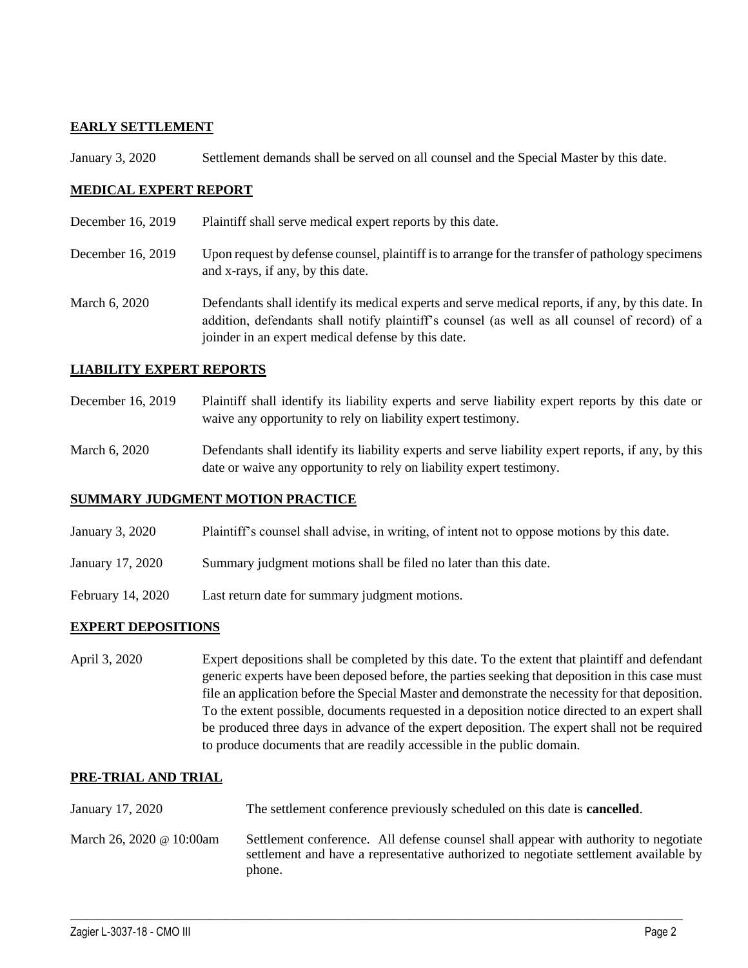## **EARLY SETTLEMENT**

January 3, 2020 Settlement demands shall be served on all counsel and the Special Master by this date.

### **MEDICAL EXPERT REPORT**

- December 16, 2019 Plaintiff shall serve medical expert reports by this date.
- December 16, 2019 Upon request by defense counsel, plaintiff is to arrange for the transfer of pathology specimens and x-rays, if any, by this date.
- March 6, 2020 Defendants shall identify its medical experts and serve medical reports, if any, by this date. In addition, defendants shall notify plaintiff's counsel (as well as all counsel of record) of a joinder in an expert medical defense by this date.

## **LIABILITY EXPERT REPORTS**

- December 16, 2019 Plaintiff shall identify its liability experts and serve liability expert reports by this date or waive any opportunity to rely on liability expert testimony.
- March 6, 2020 Defendants shall identify its liability experts and serve liability expert reports, if any, by this date or waive any opportunity to rely on liability expert testimony.

### **SUMMARY JUDGMENT MOTION PRACTICE**

- January 3, 2020 Plaintiff's counsel shall advise, in writing, of intent not to oppose motions by this date.
- January 17, 2020 Summary judgment motions shall be filed no later than this date.
- February 14, 2020 Last return date for summary judgment motions.

### **EXPERT DEPOSITIONS**

April 3, 2020 Expert depositions shall be completed by this date. To the extent that plaintiff and defendant generic experts have been deposed before, the parties seeking that deposition in this case must file an application before the Special Master and demonstrate the necessity for that deposition. To the extent possible, documents requested in a deposition notice directed to an expert shall be produced three days in advance of the expert deposition. The expert shall not be required to produce documents that are readily accessible in the public domain.

### **PRE-TRIAL AND TRIAL**

| January 17, 2020         | The settlement conference previously scheduled on this date is <b>cancelled</b> .                                                                                                     |
|--------------------------|---------------------------------------------------------------------------------------------------------------------------------------------------------------------------------------|
| March 26, 2020 @ 10:00am | Settlement conference. All defense counsel shall appear with authority to negotiate<br>settlement and have a representative authorized to negotiate settlement available by<br>phone. |

 $\_$  , and the set of the set of the set of the set of the set of the set of the set of the set of the set of the set of the set of the set of the set of the set of the set of the set of the set of the set of the set of th